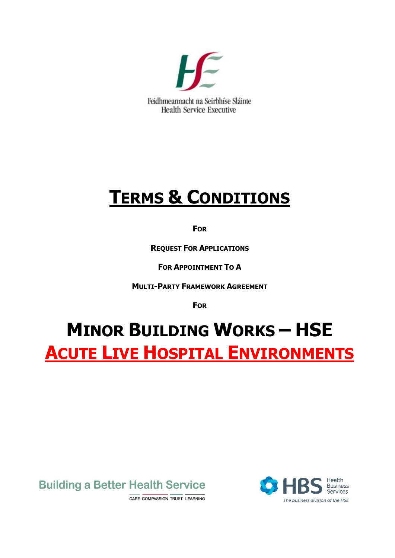

# **TERMS & CONDITIONS**

**FOR**

**REQUEST FOR APPLICATIONS**

**FOR APPOINTMENT TO A**

**MULTI-PARTY FRAMEWORK AGREEMENT**

**FOR**

# **MINOR BUILDING WORKS – HSE ACUTE LIVE HOSPITAL ENVIRONMENTS**

**Building a Better Health Service** 



CARE COMPASSION TRUST LEARNING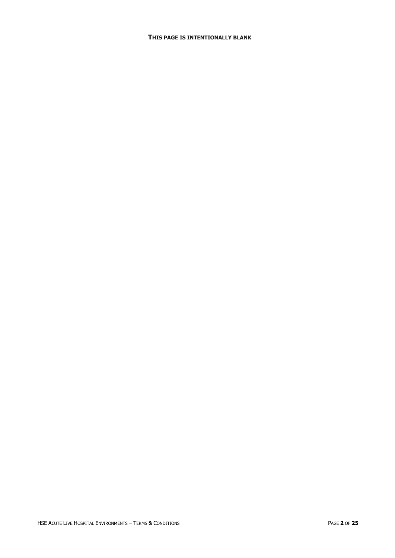## **THIS PAGE IS INTENTIONALLY BLANK**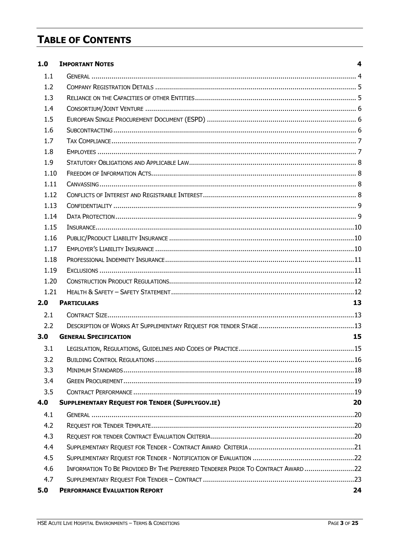# **TABLE OF CONTENTS**

| 1.0  | <b>IMPORTANT NOTES</b>                                                          | 4  |
|------|---------------------------------------------------------------------------------|----|
| 1.1  |                                                                                 |    |
| 1.2  |                                                                                 |    |
| 1.3  |                                                                                 |    |
| 1.4  |                                                                                 |    |
| 1.5  |                                                                                 |    |
| 1.6  |                                                                                 |    |
| 1.7  |                                                                                 |    |
| 1.8  |                                                                                 |    |
| 1.9  |                                                                                 |    |
| 1.10 |                                                                                 |    |
| 1.11 |                                                                                 |    |
| 1.12 |                                                                                 |    |
| 1.13 |                                                                                 |    |
| 1.14 |                                                                                 |    |
| 1.15 |                                                                                 |    |
| 1.16 |                                                                                 |    |
| 1.17 |                                                                                 |    |
| 1.18 |                                                                                 |    |
| 1.19 |                                                                                 |    |
| 1.20 |                                                                                 |    |
| 1.21 |                                                                                 |    |
| 2.0  | <b>PARTICULARS</b>                                                              | 13 |
| 2.1  |                                                                                 |    |
| 2.2  |                                                                                 |    |
| 3.0  | <b>GENERAL SPECIFICATION</b>                                                    | 15 |
| 3.1  |                                                                                 |    |
| 3.2  |                                                                                 |    |
| 3.3  |                                                                                 |    |
| 3.4  |                                                                                 |    |
| 3.5  |                                                                                 |    |
| 4.0  | <b>SUPPLEMENTARY REQUEST FOR TENDER (SUPPLYGOV.IE)</b>                          | 20 |
| 4.1  |                                                                                 |    |
| 4.2  |                                                                                 |    |
| 4.3  |                                                                                 |    |
| 4.4  |                                                                                 |    |
| 4.5  |                                                                                 |    |
| 4.6  | INFORMATION TO BE PROVIDED BY THE PREFERRED TENDERER PRIOR TO CONTRACT AWARD 22 |    |
| 4.7  |                                                                                 |    |
| 5.0  | <b>PERFORMANCE EVALUATION REPORT</b>                                            | 24 |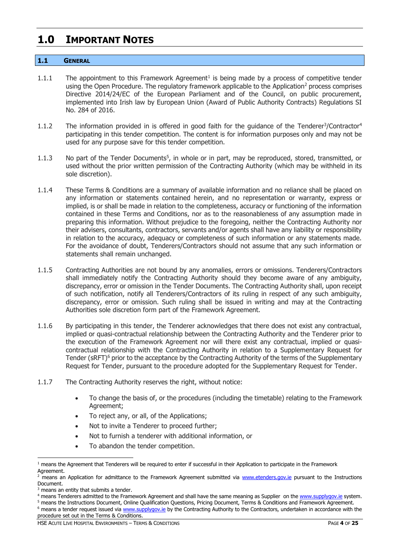# <span id="page-3-0"></span>**1.0 IMPORTANT NOTES**

# <span id="page-3-1"></span>**1.1 GENERAL**

- 1.1.1 The appointment to this Framework Agreement<sup>1</sup> is being made by a process of competitive tender using the Open Procedure. The regulatory framework applicable to the Application<sup>2</sup> process comprises Directive 2014/24/EC of the European Parliament and of the Council, on public procurement, implemented into Irish law by European Union (Award of Public Authority Contracts) Regulations SI No. 284 of 2016.
- 1.1.2 The information provided in is offered in good faith for the guidance of the Tenderer<sup>3</sup>/Contractor<sup>4</sup> participating in this tender competition. The content is for information purposes only and may not be used for any purpose save for this tender competition.
- 1.1.3 No part of the Tender Documents<sup>5</sup>, in whole or in part, may be reproduced, stored, transmitted, or used without the prior written permission of the Contracting Authority (which may be withheld in its sole discretion).
- 1.1.4 These Terms & Conditions are a summary of available information and no reliance shall be placed on any information or statements contained herein, and no representation or warranty, express or implied, is or shall be made in relation to the completeness, accuracy or functioning of the information contained in these Terms and Conditions, nor as to the reasonableness of any assumption made in preparing this information. Without prejudice to the foregoing, neither the Contracting Authority nor their advisers, consultants, contractors, servants and/or agents shall have any liability or responsibility in relation to the accuracy, adequacy or completeness of such information or any statements made. For the avoidance of doubt, Tenderers/Contractors should not assume that any such information or statements shall remain unchanged.
- 1.1.5 Contracting Authorities are not bound by any anomalies, errors or omissions. Tenderers/Contractors shall immediately notify the Contracting Authority should they become aware of any ambiguity, discrepancy, error or omission in the Tender Documents. The Contracting Authority shall, upon receipt of such notification, notify all Tenderers/Contractors of its ruling in respect of any such ambiguity, discrepancy, error or omission. Such ruling shall be issued in writing and may at the Contracting Authorities sole discretion form part of the Framework Agreement.
- 1.1.6 By participating in this tender, the Tenderer acknowledges that there does not exist any contractual, implied or quasi-contractual relationship between the Contracting Authority and the Tenderer prior to the execution of the Framework Agreement nor will there exist any contractual, implied or quasicontractual relationship with the Contracting Authority in relation to a Supplementary Request for Tender (sRFT)<sup>6</sup> prior to the acceptance by the Contracting Authority of the terms of the Supplementary Request for Tender, pursuant to the procedure adopted for the Supplementary Request for Tender.
- 1.1.7 The Contracting Authority reserves the right, without notice:
	- To change the basis of, or the procedures (including the timetable) relating to the Framework Agreement;
	- To reject any, or all, of the Applications;
	- Not to invite a Tenderer to proceed further:
	- Not to furnish a tenderer with additional information, or
	- To abandon the tender competition.

<sup>&</sup>lt;sup>1</sup> means the Agreement that Tenderers will be required to enter if successful in their Application to participate in the Framework Agreement.

means an Application for admittance to the Framework Agreement submitted via [www.etenders.gov.ie](http://www.etenders.gov.ie/) pursuant to the Instructions Document.

 $3$  means an entity that submits a tender.

<sup>&</sup>lt;sup>4</sup> means Tenderers admitted to the Framework Agreement and shall have the same meaning as Supplier on the [www.supplygov.ie](http://www.supplygov.ie/) system.

<sup>5</sup> means the Instructions Document, Online Qualification Questions, Pricing Document, Terms & Conditions and Framework Agreement.

<sup>&</sup>lt;sup>6</sup> means a tender request issued vi[a www.supplygov.ie](http://www.supplygov.ie/) by the Contracting Authority to the Contractors, undertaken in accordance with the procedure set out in the Terms & Conditions.

HSE ACUTE LIVE HOSPITAL ENVIRONMENTS – TERMS & CONDITIONS PAGE **4** OF **25**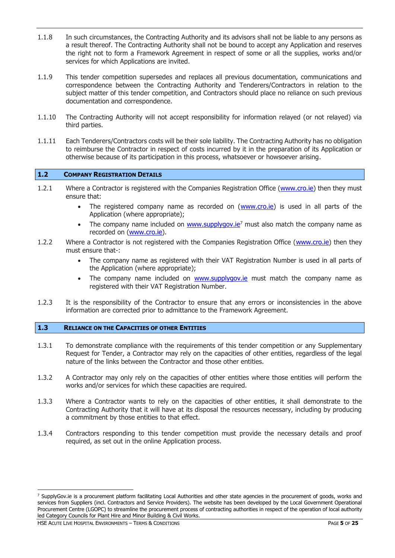- 1.1.8 In such circumstances, the Contracting Authority and its advisors shall not be liable to any persons as a result thereof. The Contracting Authority shall not be bound to accept any Application and reserves the right not to form a Framework Agreement in respect of some or all the supplies, works and/or services for which Applications are invited.
- 1.1.9 This tender competition supersedes and replaces all previous documentation, communications and correspondence between the Contracting Authority and Tenderers/Contractors in relation to the subject matter of this tender competition, and Contractors should place no reliance on such previous documentation and correspondence.
- 1.1.10 The Contracting Authority will not accept responsibility for information relayed (or not relayed) via third parties.
- 1.1.11 Each Tenderers/Contractors costs will be their sole liability. The Contracting Authority has no obligation to reimburse the Contractor in respect of costs incurred by it in the preparation of its Application or otherwise because of its participation in this process, whatsoever or howsoever arising.

# <span id="page-4-0"></span>**1.2 COMPANY REGISTRATION DETAILS**

- 1.2.1 Where a Contractor is registered with the Companies Registration Office [\(www.cro.ie\)](http://www.cro.ie/) then they must ensure that:
	- The registered company name as recorded on [\(www.cro.ie\)](http://www.cro.ie/) is used in all parts of the Application (where appropriate);
	- The company name included on [www.supplygov.ie](http://www.supplygov.ie/)<sup>7</sup> must also match the company name as recorded on [\(www.cro.ie\)](http://www.cro.ie/).
- 1.2.2 Where a Contractor is not registered with the Companies Registration Office [\(www.cro.ie\)](http://www.cro.ie/) then they must ensure that-:
	- The company name as registered with their VAT Registration Number is used in all parts of the Application (where appropriate);
	- The company name included on [www.supplygov.ie](http://www.supplygov.ie/) must match the company name as registered with their VAT Registration Number.
- 1.2.3 It is the responsibility of the Contractor to ensure that any errors or inconsistencies in the above information are corrected prior to admittance to the Framework Agreement.

# <span id="page-4-1"></span>**1.3 RELIANCE ON THE CAPACITIES OF OTHER ENTITIES**

- 1.3.1 To demonstrate compliance with the requirements of this tender competition or any Supplementary Request for Tender, a Contractor may rely on the capacities of other entities, regardless of the legal nature of the links between the Contractor and those other entities.
- 1.3.2 A Contractor may only rely on the capacities of other entities where those entities will perform the works and/or services for which these capacities are required.
- 1.3.3 Where a Contractor wants to rely on the capacities of other entities, it shall demonstrate to the Contracting Authority that it will have at its disposal the resources necessary, including by producing a commitment by those entities to that effect.
- 1.3.4 Contractors responding to this tender competition must provide the necessary details and proof required, as set out in the online Application process.

HSE ACUTE LIVE HOSPITAL ENVIRONMENTS – TERMS & CONDITIONS PAGE **5** OF **25**

<sup>&</sup>lt;sup>7</sup> SupplyGov.ie is a procurement platform facilitating Local Authorities and other state agencies in the procurement of goods, works and services from Suppliers (incl. Contractors and Service Providers). The website has been developed by the Local Government Operational Procurement Centre (LGOPC) to streamline the procurement process of contracting authorities in respect of the operation of local authority led Category Councils for Plant Hire and Minor Building & Civil Works.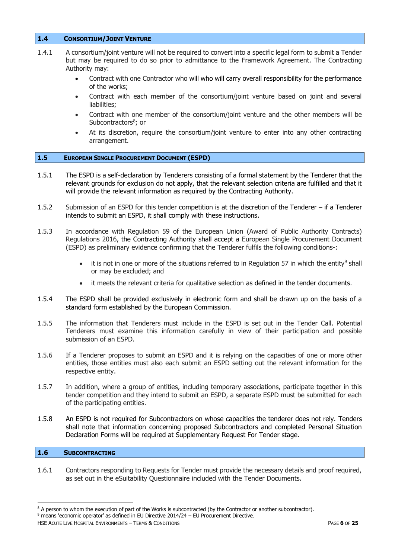### <span id="page-5-0"></span>**1.4 CONSORTIUM/JOINT VENTURE**

- 1.4.1 A consortium/joint venture will not be required to convert into a specific legal form to submit a Tender but may be required to do so prior to admittance to the Framework Agreement. The Contracting Authority may:
	- Contract with one Contractor who will who will carry overall responsibility for the performance of the works;
	- Contract with each member of the consortium/joint venture based on joint and several liabilities;
	- Contract with one member of the consortium/joint venture and the other members will be Subcontractors<sup>8</sup>; or
	- At its discretion, require the consortium/joint venture to enter into any other contracting arrangement.

#### <span id="page-5-1"></span>**1.5 EUROPEAN SINGLE PROCUREMENT DOCUMENT (ESPD)**

- 1.5.1 The ESPD is a self-declaration by Tenderers consisting of a formal statement by the Tenderer that the relevant grounds for exclusion do not apply, that the relevant selection criteria are fulfilled and that it will provide the relevant information as required by the Contracting Authority.
- 1.5.2 Submission of an ESPD for this tender competition is at the discretion of the Tenderer if a Tenderer intends to submit an ESPD, it shall comply with these instructions.
- 1.5.3 In accordance with Regulation 59 of the European Union (Award of Public Authority Contracts) Regulations 2016, the Contracting Authority shall accept a European Single Procurement Document (ESPD) as preliminary evidence confirming that the Tenderer fulfils the following conditions-:
	- it is not in one or more of the situations referred to in Regulation 57 in which the entity<sup>9</sup> shall or may be excluded; and
	- it meets the relevant criteria for qualitative selection as defined in the tender documents.
- 1.5.4 The ESPD shall be provided exclusively in electronic form and shall be drawn up on the basis of a standard form established by the European Commission.
- 1.5.5 The information that Tenderers must include in the ESPD is set out in the Tender Call. Potential Tenderers must examine this information carefully in view of their participation and possible submission of an ESPD.
- 1.5.6 If a Tenderer proposes to submit an ESPD and it is relying on the capacities of one or more other entities, those entities must also each submit an ESPD setting out the relevant information for the respective entity.
- 1.5.7 In addition, where a group of entities, including temporary associations, participate together in this tender competition and they intend to submit an ESPD, a separate ESPD must be submitted for each of the participating entities.
- 1.5.8 An ESPD is not required for Subcontractors on whose capacities the tenderer does not rely. Tenders shall note that information concerning proposed Subcontractors and completed Personal Situation Declaration Forms will be required at Supplementary Request For Tender stage.

# <span id="page-5-2"></span>**1.6 SUBCONTRACTING**

-

1.6.1 Contractors responding to Requests for Tender must provide the necessary details and proof required, as set out in the eSuitability Questionnaire included with the Tender Documents.

<sup>&</sup>lt;sup>8</sup> A person to whom the execution of part of the Works is subcontracted (by the Contractor or another subcontractor). <sup>9</sup> means 'economic operator' as defined in EU Directive 2014/24 – EU Procurement Directive.

HSE ACUTE LIVE HOSPITAL ENVIRONMENTS – TERMS & CONDITIONS PAGE **6** OF **25**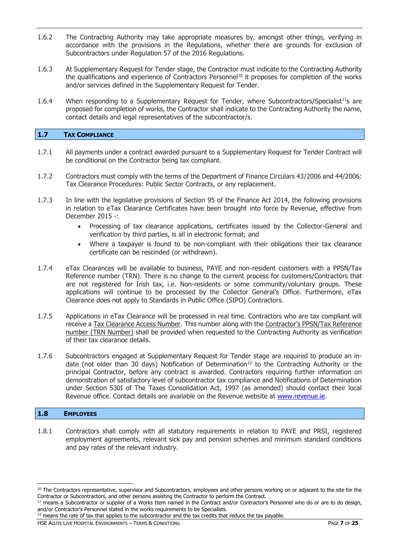- 1.6.2 The Contracting Authority may take appropriate measures by, amongst other things, verifying in accordance with the provisions in the Regulations, whether there are grounds for exclusion of Subcontractors under Regulation 57 of the 2016 Regulations.
- 1.6.3 At Supplementary Request for Tender stage, the Contractor must indicate to the Contracting Authority the qualifications and experience of Contractors Personnel<sup>10</sup> it proposes for completion of the works and/or services defined in the Supplementary Request for Tender.
- 1.6.4 When responding to a Supplementary Request for Tender, where Subcontractors/Specialist<sup>11</sup>s are proposed for completion of works, the Contractor shall indicate to the Contracting Authority the name, contact details and legal representatives of the subcontractor/s.

# <span id="page-6-0"></span>**1.7 TAX COMPLIANCE**

- 1.7.1 All payments under a contract awarded pursuant to a Supplementary Request for Tender Contract will be conditional on the Contractor being tax compliant.
- 1.7.2 Contractors must comply with the terms of the Department of Finance Circulars 43/2006 and 44/2006: Tax Clearance Procedures: Public Sector Contracts, or any replacement.
- 1.7.3 In line with the legislative provisions of Section 95 of the Finance Act 2014, the following provisions in relation to eTax Clearance Certificates have been brought into force by Revenue, effective from December 2015 -:
	- Processing of tax clearance applications, certificates issued by the Collector-General and verification by third parties, is all in electronic format; and
	- Where a taxpayer is found to be non-compliant with their obligations their tax clearance certificate can be rescinded (or withdrawn).
- 1.7.4 eTax Clearances will be available to business, PAYE and non-resident customers with a PPSN/Tax Reference number (TRN). There is no change to the current process for customers/Contractors that are not registered for Irish tax, i.e. Non-residents or some community/voluntary groups. These applications will continue to be processed by the Collector General's Office. Furthermore, eTax Clearance does not apply to Standards in Public Office (SIPO) Contractors.
- 1.7.5 Applications in eTax Clearance will be processed in real time. Contractors who are tax compliant will receive a Tax Clearance Access Number. This number along with the Contractor's PPSN/Tax Reference number (TRN Number) shall be provided when requested to the Contracting Authority as verification of their tax clearance details.
- 1.7.6 Subcontractors engaged at Supplementary Request for Tender stage are required to produce an indate (not older than 30 days) Notification of Determination<sup>12</sup> to the Contracting Authority or the principal Contractor, before any contract is awarded. Contractors requiring further information on demonstration of satisfactory level of subcontractor tax compliance and Notifications of Determination under Section 530I of The Taxes Consolidation Act, 1997 (as amended) should contact their local Revenue office. Contact details are available on the Revenue website at [www.revenue.ie.](http://www.revenue.ie/)

## <span id="page-6-1"></span>**1.8 EMPLOYEES**

-

1.8.1 Contractors shall comply with all statutory requirements in relation to PAYE and PRSI, registered employment agreements, relevant sick pay and pension schemes and minimum standard conditions and pay rates of the relevant industry.

HSE ACUTE LIVE HOSPITAL ENVIRONMENTS – TERMS & CONDITIONS PAGE **7** OF **25**

<sup>&</sup>lt;sup>10</sup> The Contractors representative, supervisor and Subcontractors, employees and other persons working on or adjacent to the site for the Contractor or Subcontractors, and other persons assisting the Contractor to perform the Contract.

<sup>&</sup>lt;sup>11</sup> means a Subcontractor or supplier of a Works Item named in the Contract and/or Contractor's Personnel who do or are to do design, and/or Contractor's Personnel stated in the works requirements to be Specialists.

 $12$  means the rate of tax that applies to the subcontractor and the tax credits that reduce the tax payable.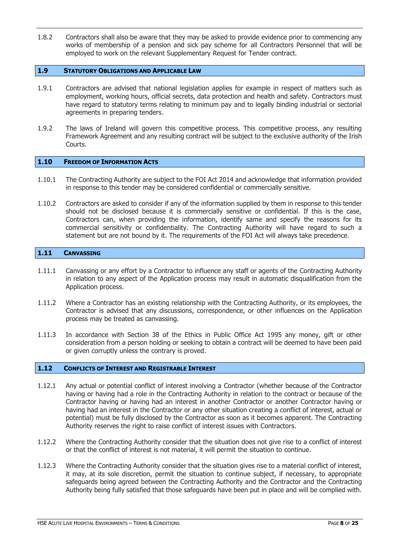1.8.2 Contractors shall also be aware that they may be asked to provide evidence prior to commencing any works of membership of a pension and sick pay scheme for all Contractors Personnel that will be employed to work on the relevant Supplementary Request for Tender contract.

# <span id="page-7-0"></span>**1.9 STATUTORY OBLIGATIONS AND APPLICABLE LAW**

- 1.9.1 Contractors are advised that national legislation applies for example in respect of matters such as employment, working hours, official secrets, data protection and health and safety. Contractors must have regard to statutory terms relating to minimum pay and to legally binding industrial or sectorial agreements in preparing tenders.
- 1.9.2 The laws of Ireland will govern this competitive process. This competitive process, any resulting Framework Agreement and any resulting contract will be subject to the exclusive authority of the Irish Courts.

## <span id="page-7-1"></span>**1.10 FREEDOM OF INFORMATION ACTS**

- 1.10.1 The Contracting Authority are subject to the FOI Act 2014 and acknowledge that information provided in response to this tender may be considered confidential or commercially sensitive.
- 1.10.2 Contractors are asked to consider if any of the information supplied by them in response to this tender should not be disclosed because it is commercially sensitive or confidential. If this is the case, Contractors can, when providing the information, identify same and specify the reasons for its commercial sensitivity or confidentiality. The Contracting Authority will have regard to such a statement but are not bound by it. The requirements of the FOI Act will always take precedence.

# <span id="page-7-2"></span>**1.11 CANVASSING**

- 1.11.1 Canvassing or any effort by a Contractor to influence any staff or agents of the Contracting Authority in relation to any aspect of the Application process may result in automatic disqualification from the Application process.
- 1.11.2 Where a Contractor has an existing relationship with the Contracting Authority, or its employees, the Contractor is advised that any discussions, correspondence, or other influences on the Application process may be treated as canvassing.
- 1.11.3 In accordance with Section 38 of the Ethics in Public Office Act 1995 any money, gift or other consideration from a person holding or seeking to obtain a contract will be deemed to have been paid or given corruptly unless the contrary is proved.

#### <span id="page-7-3"></span>**1.12 CONFLICTS OF INTEREST AND REGISTRABLE INTEREST**

- 1.12.1 Any actual or potential conflict of interest involving a Contractor (whether because of the Contractor having or having had a role in the Contracting Authority in relation to the contract or because of the Contractor having or having had an interest in another Contractor or another Contractor having or having had an interest in the Contractor or any other situation creating a conflict of interest, actual or potential) must be fully disclosed by the Contractor as soon as it becomes apparent. The Contracting Authority reserves the right to raise conflict of interest issues with Contractors.
- 1.12.2 Where the Contracting Authority consider that the situation does not give rise to a conflict of interest or that the conflict of interest is not material, it will permit the situation to continue.
- 1.12.3 Where the Contracting Authority consider that the situation gives rise to a material conflict of interest, it may, at its sole discretion, permit the situation to continue subject, if necessary, to appropriate safeguards being agreed between the Contracting Authority and the Contractor and the Contracting Authority being fully satisfied that those safeguards have been put in place and will be complied with.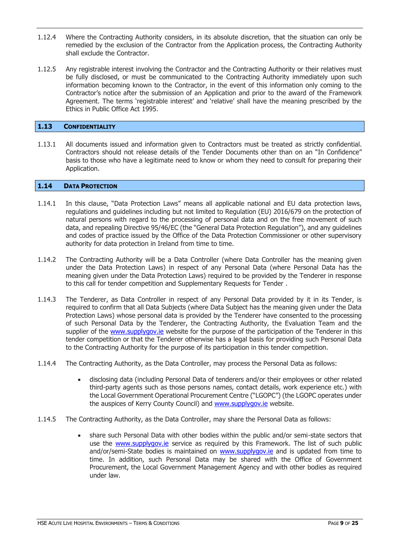- 1.12.4 Where the Contracting Authority considers, in its absolute discretion, that the situation can only be remedied by the exclusion of the Contractor from the Application process, the Contracting Authority shall exclude the Contractor.
- 1.12.5 Any registrable interest involving the Contractor and the Contracting Authority or their relatives must be fully disclosed, or must be communicated to the Contracting Authority immediately upon such information becoming known to the Contractor, in the event of this information only coming to the Contractor's notice after the submission of an Application and prior to the award of the Framework Agreement. The terms 'registrable interest' and 'relative' shall have the meaning prescribed by the Ethics in Public Office Act 1995.

# <span id="page-8-0"></span>**1.13 CONFIDENTIALITY**

1.13.1 All documents issued and information given to Contractors must be treated as strictly confidential. Contractors should not release details of the Tender Documents other than on an "In Confidence" basis to those who have a legitimate need to know or whom they need to consult for preparing their Application.

#### <span id="page-8-1"></span>**1.14 DATA PROTECTION**

- 1.14.1 In this clause, "Data Protection Laws" means all applicable national and EU data protection laws, regulations and guidelines including but not limited to Regulation (EU) 2016/679 on the protection of natural persons with regard to the processing of personal data and on the free movement of such data, and repealing Directive 95/46/EC (the "General Data Protection Regulation"), and any guidelines and codes of practice issued by the Office of the Data Protection Commissioner or other supervisory authority for data protection in Ireland from time to time.
- 1.14.2 The Contracting Authority will be a Data Controller (where Data Controller has the meaning given under the Data Protection Laws) in respect of any Personal Data (where Personal Data has the meaning given under the Data Protection Laws) required to be provided by the Tenderer in response to this call for tender competition and Supplementary Requests for Tender .
- 1.14.3 The Tenderer, as Data Controller in respect of any Personal Data provided by it in its Tender, is required to confirm that all Data Subjects (where Data Subject has the meaning given under the Data Protection Laws) whose personal data is provided by the Tenderer have consented to the processing of such Personal Data by the Tenderer, the Contracting Authority, the Evaluation Team and the supplier of the [www.supplygov.ie](http://www.supplygov.ie/) website for the purpose of the participation of the Tenderer in this tender competition or that the Tenderer otherwise has a legal basis for providing such Personal Data to the Contracting Authority for the purpose of its participation in this tender competition.
- 1.14.4 The Contracting Authority, as the Data Controller, may process the Personal Data as follows:
	- disclosing data (including Personal Data of tenderers and/or their employees or other related third-party agents such as those persons names, contact details, work experience etc.) with the Local Government Operational Procurement Centre ("LGOPC") (the LGOPC operates under the auspices of Kerry County Council) and [www.supplygov.ie](http://www.supplygov.ie/) website.
- 1.14.5 The Contracting Authority, as the Data Controller, may share the Personal Data as follows:
	- share such Personal Data with other bodies within the public and/or semi-state sectors that use the [www.supplygov.ie](http://www.supplygov.ie/) service as required by this Framework. The list of such public and/or/semi-State bodies is maintained on **www.supplygov.ie** and is updated from time to time. In addition, such Personal Data may be shared with the Office of Government Procurement, the Local Government Management Agency and with other bodies as required under law.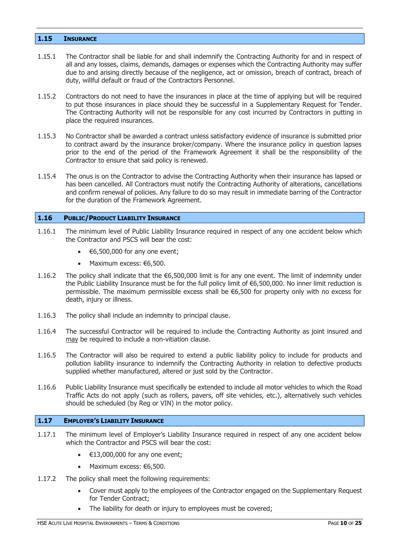# <span id="page-9-0"></span>**1.15 INSURANCE**

- 1.15.1 The Contractor shall be liable for and shall indemnify the Contracting Authority for and in respect of all and any losses, claims, demands, damages or expenses which the Contracting Authority may suffer due to and arising directly because of the negligence, act or omission, breach of contract, breach of duty, willful default or fraud of the Contractors Personnel.
- 1.15.2 Contractors do not need to have the insurances in place at the time of applying but will be required to put those insurances in place should they be successful in a Supplementary Request for Tender. The Contracting Authority will not be responsible for any cost incurred by Contractors in putting in place the required insurances.
- 1.15.3 No Contractor shall be awarded a contract unless satisfactory evidence of insurance is submitted prior to contract award by the insurance broker/company. Where the insurance policy in question lapses prior to the end of the period of the Framework Agreement it shall be the responsibility of the Contractor to ensure that said policy is renewed.
- 1.15.4 The onus is on the Contractor to advise the Contracting Authority when their insurance has lapsed or has been cancelled. All Contractors must notify the Contracting Authority of alterations, cancellations and confirm renewal of policies. Any failure to do so may result in immediate barring of the Contractor for the duration of the Framework Agreement.

## <span id="page-9-1"></span>**1.16 PUBLIC/PRODUCT LIABILITY INSURANCE**

- 1.16.1 The minimum level of Public Liability Insurance required in respect of any one accident below which the Contractor and PSCS will bear the cost:
	- €6,500,000 for any one event;
	- Maximum excess: €6,500.
- 1.16.2 The policy shall indicate that the €6,500,000 limit is for any one event. The limit of indemnity under the Public Liability Insurance must be for the full policy limit of €6,500,000. No inner limit reduction is permissible. The maximum permissible excess shall be €6,500 for property only with no excess for death, injury or illness.
- 1.16.3 The policy shall include an indemnity to principal clause.
- 1.16.4 The successful Contractor will be required to include the Contracting Authority as joint insured and may be required to include a non-vitiation clause.
- 1.16.5 The Contractor will also be required to extend a public liability policy to include for products and pollution liability insurance to indemnify the Contracting Authority in relation to defective products supplied whether manufactured, altered or just sold by the Contractor.
- 1.16.6 Public Liability Insurance must specifically be extended to include all motor vehicles to which the Road Traffic Acts do not apply (such as rollers, pavers, off site vehicles, etc.), alternatively such vehicles should be scheduled (by Reg or VIN) in the motor policy.

# <span id="page-9-2"></span>**1.17 EMPLOYER'S LIABILITY INSURANCE**

- 1.17.1 The minimum level of Employer's Liability Insurance required in respect of any one accident below which the Contractor and PSCS will bear the cost:
	- $€13,000,000$  for any one event;
	- Maximum excess: €6,500.
- 1.17.2 The policy shall meet the following requirements:
	- Cover must apply to the employees of the Contractor engaged on the Supplementary Request for Tender Contract;
	- The liability for death or injury to employees must be covered;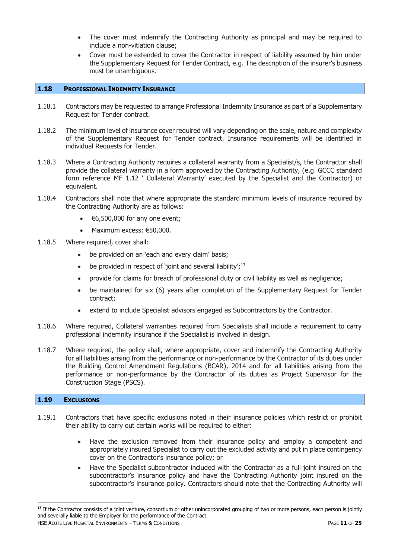- The cover must indemnify the Contracting Authority as principal and may be required to include a non-vitiation clause;
- Cover must be extended to cover the Contractor in respect of liability assumed by him under the Supplementary Request for Tender Contract, e.g. The description of the insurer's business must be unambiguous.

# <span id="page-10-0"></span>**1.18 PROFESSIONAL INDEMNITY INSURANCE**

- 1.18.1 Contractors may be requested to arrange Professional Indemnity Insurance as part of a Supplementary Request for Tender contract.
- 1.18.2 The minimum level of insurance cover required will vary depending on the scale, nature and complexity of the Supplementary Request for Tender contract. Insurance requirements will be identified in individual Requests for Tender.
- 1.18.3 Where a Contracting Authority requires a collateral warranty from a Specialist/s, the Contractor shall provide the collateral warranty in a form approved by the Contracting Authority, (e.g. GCCC standard form reference MF 1.12 ' Collateral Warranty' executed by the Specialist and the Contractor) or equivalent.
- 1.18.4 Contractors shall note that where appropriate the standard minimum levels of insurance required by the Contracting Authority are as follows:
	- $€6,500,000$  for any one event;
	- Maximum excess: €50,000.
- 1.18.5 Where required, cover shall:
	- be provided on an 'each and every claim' basis;
	- be provided in respect of 'joint and several liability',  $13$
	- provide for claims for breach of professional duty or civil liability as well as negligence;
	- be maintained for six (6) years after completion of the Supplementary Request for Tender contract;
	- extend to include Specialist advisors engaged as Subcontractors by the Contractor.
- 1.18.6 Where required, Collateral warranties required from Specialists shall include a requirement to carry professional indemnity insurance if the Specialist is involved in design.
- 1.18.7 Where required, the policy shall, where appropriate, cover and indemnify the Contracting Authority for all liabilities arising from the performance or non-performance by the Contractor of its duties under the Building Control Amendment Regulations (BCAR), 2014 and for all liabilities arising from the performance or non-performance by the Contractor of its duties as Project Supervisor for the Construction Stage (PSCS).

## <span id="page-10-1"></span>**1.19 EXCLUSIONS**

- 1.19.1 Contractors that have specific exclusions noted in their insurance policies which restrict or prohibit their ability to carry out certain works will be required to either:
	- Have the exclusion removed from their insurance policy and employ a competent and appropriately insured Specialist to carry out the excluded activity and put in place contingency cover on the Contractor's insurance policy; or
	- Have the Specialist subcontractor included with the Contractor as a full joint insured on the subcontractor's insurance policy and have the Contracting Authority joint insured on the subcontractor's insurance policy. Contractors should note that the Contracting Authority will

<sup>&</sup>lt;sup>13</sup> If the Contractor consists of a joint venture, consortium or other unincorporated grouping of two or more persons, each person is jointly and severally liable to the Employer for the performance of the Contract.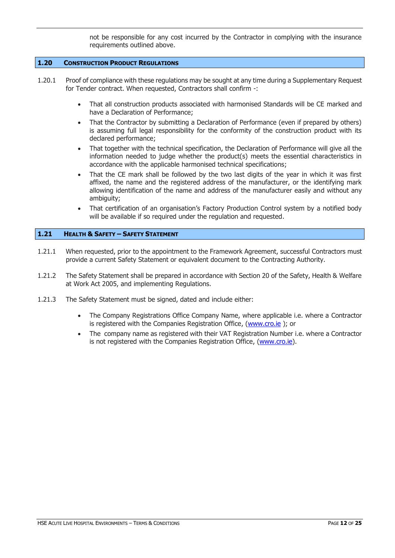not be responsible for any cost incurred by the Contractor in complying with the insurance requirements outlined above.

# <span id="page-11-0"></span>**1.20 CONSTRUCTION PRODUCT REGULATIONS**

- 1.20.1 Proof of compliance with these regulations may be sought at any time during a Supplementary Request for Tender contract. When requested, Contractors shall confirm -:
	- That all construction products associated with harmonised Standards will be CE marked and have a Declaration of Performance;
	- That the Contractor by submitting a Declaration of Performance (even if prepared by others) is assuming full legal responsibility for the conformity of the construction product with its declared performance;
	- That together with the technical specification, the Declaration of Performance will give all the information needed to judge whether the product(s) meets the essential characteristics in accordance with the applicable harmonised technical specifications;
	- That the CE mark shall be followed by the two last digits of the year in which it was first affixed, the name and the registered address of the manufacturer, or the identifying mark allowing identification of the name and address of the manufacturer easily and without any ambiguity;
	- That certification of an organisation's Factory Production Control system by a notified body will be available if so required under the regulation and requested.

# <span id="page-11-1"></span>**1.21 HEALTH & SAFETY – SAFETY STATEMENT**

- 1.21.1 When requested, prior to the appointment to the Framework Agreement, successful Contractors must provide a current Safety Statement or equivalent document to the Contracting Authority.
- 1.21.2 The Safety Statement shall be prepared in accordance with Section 20 of the Safety, Health & Welfare at Work Act 2005, and implementing Regulations.
- 1.21.3 The Safety Statement must be signed, dated and include either:
	- The Company Registrations Office Company Name, where applicable i.e. where a Contractor is registered with the Companies Registration Office, [\(www.cro.ie](http://www.cro.ie/) ); or
	- The company name as registered with their VAT Registration Number i.e. where a Contractor is not registered with the Companies Registration Office, [\(www.cro.ie\)](http://www.cro.ie/).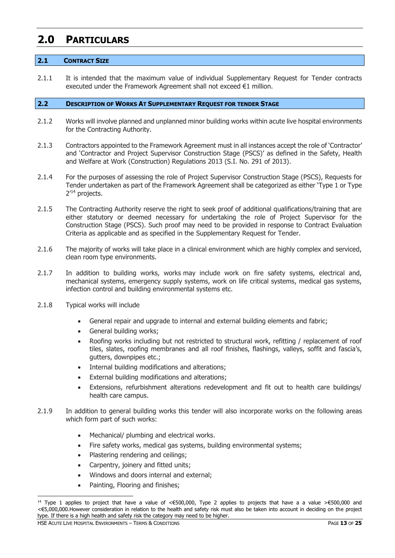# <span id="page-12-0"></span>**2.0 PARTICULARS**

# <span id="page-12-1"></span>**2.1 CONTRACT SIZE**

2.1.1 It is intended that the maximum value of individual Supplementary Request for Tender contracts executed under the Framework Agreement shall not exceed €1 million.

## <span id="page-12-2"></span>**2.2 DESCRIPTION OF WORKS AT SUPPLEMENTARY REQUEST FOR TENDER STAGE**

- 2.1.2 Works will involve planned and unplanned minor building works within acute live hospital environments for the Contracting Authority.
- 2.1.3 Contractors appointed to the Framework Agreement must in all instances accept the role of 'Contractor' and 'Contractor and Project Supervisor Construction Stage (PSCS)' as defined in the Safety, Health and Welfare at Work (Construction) Regulations 2013 (S.I. No. 291 of 2013).
- 2.1.4 For the purposes of assessing the role of Project Supervisor Construction Stage (PSCS), Requests for Tender undertaken as part of the Framework Agreement shall be categorized as either 'Type 1 or Type 2' <sup>14</sup> projects.
- 2.1.5 The Contracting Authority reserve the right to seek proof of additional qualifications/training that are either statutory or deemed necessary for undertaking the role of Project Supervisor for the Construction Stage (PSCS). Such proof may need to be provided in response to Contract Evaluation Criteria as applicable and as specified in the Supplementary Request for Tender.
- 2.1.6 The majority of works will take place in a clinical environment which are highly complex and serviced, clean room type environments.
- 2.1.7 In addition to building works, works may include work on fire safety systems, electrical and, mechanical systems, emergency supply systems, work on life critical systems, medical gas systems, infection control and building environmental systems etc.
- 2.1.8 Typical works will include
	- General repair and upgrade to internal and external building elements and fabric;
	- General building works:
	- Roofing works including but not restricted to structural work, refitting / replacement of roof tiles, slates, roofing membranes and all roof finishes, flashings, valleys, soffit and fascia's, gutters, downpipes etc.;
	- Internal building modifications and alterations;
	- External building modifications and alterations;
	- Extensions, refurbishment alterations redevelopment and fit out to health care buildings/ health care campus.
- 2.1.9 In addition to general building works this tender will also incorporate works on the following areas which form part of such works:
	- Mechanical/ plumbing and electrical works.
	- Fire safety works, medical gas systems, building environmental systems;
	- Plastering rendering and ceilings;
	- Carpentry, joinery and fitted units;
	- Windows and doors internal and external;
	- Painting, Flooring and finishes;

<sup>-</sup><sup>14</sup> Type 1 applies to project that have a value of <€500,000, Type 2 applies to projects that have a a value >€500,000 and <€5,000,000.However consideration in relation to the health and safety risk must also be taken into account in deciding on the project type. If there is a high health and safety risk the category may need to be higher.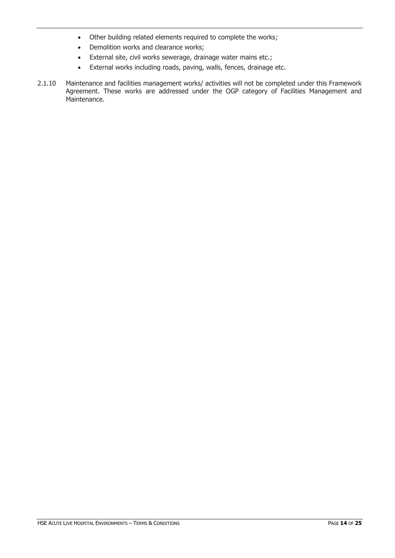- Other building related elements required to complete the works;
- Demolition works and clearance works;
- External site, civil works sewerage, drainage water mains etc.;
- External works including roads, paving, walls, fences, drainage etc.
- 2.1.10 Maintenance and facilities management works/ activities will not be completed under this Framework Agreement. These works are addressed under the OGP category of Facilities Management and Maintenance.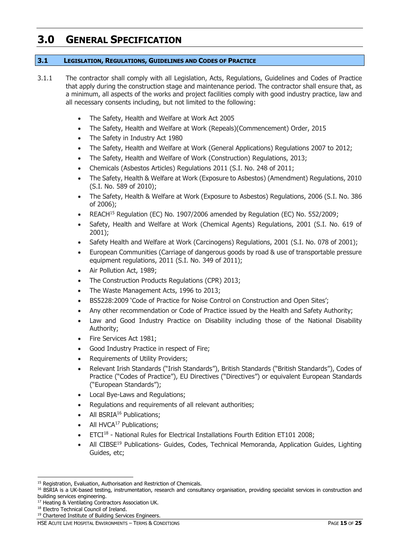# <span id="page-14-0"></span>**3.0 GENERAL SPECIFICATION**

# <span id="page-14-1"></span>**3.1 LEGISLATION, REGULATIONS, GUIDELINES AND CODES OF PRACTICE**

- 3.1.1 The contractor shall comply with all Legislation, Acts, Regulations, Guidelines and Codes of Practice that apply during the construction stage and maintenance period. The contractor shall ensure that, as a minimum, all aspects of the works and project facilities comply with good industry practice, law and all necessary consents including, but not limited to the following:
	- The Safety, Health and Welfare at Work Act 2005
	- The Safety, Health and Welfare at Work (Repeals)(Commencement) Order, 2015
	- The Safety in Industry Act 1980
	- The Safety, Health and Welfare at Work (General Applications) Regulations 2007 to 2012;
	- The Safety, Health and Welfare of Work (Construction) Regulations, 2013;
	- Chemicals (Asbestos Articles) Regulations 2011 (S.I. No. 248 of 2011;
	- The Safety, Health & Welfare at Work (Exposure to Asbestos) (Amendment) Regulations, 2010 (S.I. No. 589 of 2010);
	- The Safety, Health & Welfare at Work (Exposure to Asbestos) Regulations, 2006 (S.I. No. 386 of 2006);
	- REACH<sup>15</sup> Regulation (EC) No. 1907/2006 amended by Regulation (EC) No. 552/2009;
	- Safety, Health and Welfare at Work (Chemical Agents) Regulations, 2001 (S.I. No. 619 of 2001);
	- Safety Health and Welfare at Work (Carcinogens) Regulations, 2001 (S.I. No. 078 of 2001);
	- European Communities (Carriage of dangerous goods by road & use of transportable pressure equipment regulations, 2011 (S.I. No. 349 of 2011);
	- Air Pollution Act, 1989;
	- The Construction Products Regulations (CPR) 2013;
	- The Waste Management Acts, 1996 to 2013;
	- BS5228:2009 'Code of Practice for Noise Control on Construction and Open Sites';
	- Any other recommendation or Code of Practice issued by the Health and Safety Authority;
	- Law and Good Industry Practice on Disability including those of the National Disability Authority;
	- Fire Services Act 1981;
	- Good Industry Practice in respect of Fire;
	- Requirements of Utility Providers;
	- Relevant Irish Standards ("Irish Standards"), British Standards ("British Standards"), Codes of Practice ("Codes of Practice"), EU Directives ("Directives") or equivalent European Standards ("European Standards");
	- Local Bye-Laws and Regulations;
	- Regulations and requirements of all relevant authorities;
	- All BSRIA<sup>16</sup> Publications;
	- All HVCA<sup>17</sup> Publications;
	- ETCI<sup>18</sup> National Rules for Electrical Installations Fourth Edition ET101 2008;
	- All CIBSE<sup>19</sup> Publications- Guides, Codes, Technical Memoranda, Application Guides, Lighting Guides, etc;

<sup>-</sup><sup>15</sup> Registration, Evaluation, Authorisation and Restriction of Chemicals.

<sup>16</sup> BSRIA is a UK-based testing, instrumentation, research and consultancy organisation, providing specialist services in construction and building services engineering.

<sup>&</sup>lt;sup>17</sup> Heating & Ventilating Contractors Association UK.

<sup>&</sup>lt;sup>18</sup> Electro Technical Council of Ireland.

<sup>&</sup>lt;sup>19</sup> Chartered Institute of Building Services Engineers.

HSE ACUTE LIVE HOSPITAL ENVIRONMENTS – TERMS & CONDITIONS PAGE **15** OF **25**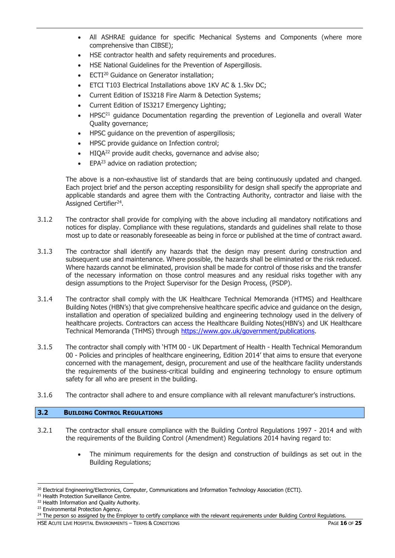- All ASHRAE guidance for specific Mechanical Systems and Components (where more comprehensive than CIBSE);
- HSE contractor health and safety requirements and procedures.
- HSE National Guidelines for the Prevention of Aspergillosis.
- ECTI<sup>20</sup> Guidance on Generator installation;
- ETCI T103 Electrical Installations above 1KV AC & 1.5kv DC;
- Current Edition of IS3218 Fire Alarm & Detection Systems;
- Current Edition of IS3217 Emergency Lighting;
- $HPSC<sup>21</sup>$  quidance Documentation regarding the prevention of Legionella and overall Water Quality governance;
- HPSC guidance on the prevention of aspergillosis;
- HPSC provide guidance on Infection control;
- HIQA<sup>22</sup> provide audit checks, governance and advise also;
- EPA<sup>23</sup> advice on radiation protection;

The above is a non-exhaustive list of standards that are being continuously updated and changed. Each project brief and the person accepting responsibility for design shall specify the appropriate and applicable standards and agree them with the Contracting Authority, contractor and liaise with the Assigned Certifier<sup>24</sup>.

- 3.1.2 The contractor shall provide for complying with the above including all mandatory notifications and notices for display. Compliance with these regulations, standards and guidelines shall relate to those most up to date or reasonably foreseeable as being in force or published at the time of contract award.
- 3.1.3 The contractor shall identify any hazards that the design may present during construction and subsequent use and maintenance. Where possible, the hazards shall be eliminated or the risk reduced. Where hazards cannot be eliminated, provision shall be made for control of those risks and the transfer of the necessary information on those control measures and any residual risks together with any design assumptions to the Project Supervisor for the Design Process, (PSDP).
- 3.1.4 The contractor shall comply with the UK Healthcare Technical Memoranda (HTMS) and Healthcare Building Notes (HBN's) that give comprehensive healthcare specific advice and guidance on the design, installation and operation of specialized building and engineering technology used in the delivery of healthcare projects. Contractors can access the Healthcare Building Notes(HBN's) and UK Healthcare Technical Memoranda (THMS) through [https://www.gov.uk/government/publications.](https://www.gov.uk/government/publications)
- 3.1.5 The contractor shall comply with 'HTM 00 UK Department of Health Health Technical Memorandum 00 - Policies and principles of healthcare engineering, Edition 2014' that aims to ensure that everyone concerned with the management, design, procurement and use of the healthcare facility understands the requirements of the business-critical building and engineering technology to ensure optimum safety for all who are present in the building.
- 3.1.6 The contractor shall adhere to and ensure compliance with all relevant manufacturer's instructions.

# <span id="page-15-0"></span>**3.2 BUILDING CONTROL REGULATIONS**

- 3.2.1 The contractor shall ensure compliance with the Building Control Regulations 1997 2014 and with the requirements of the Building Control (Amendment) Regulations 2014 having regard to:
	- The minimum requirements for the design and construction of buildings as set out in the Building Regulations;

<sup>-</sup> $^{20}$  Electrical Engineering/Electronics, Computer, Communications and Information Technology Association (ECTI).

<sup>21</sup> Health Protection Surveillance Centre.

<sup>&</sup>lt;sup>22</sup> Health Information and Quality Authority.

<sup>&</sup>lt;sup>23</sup> Environmental Protection Agency.

HSE ACUTE LIVE HOSPITAL ENVIRONMENTS – TERMS & CONDITIONS PAGE **16** OF **25** <sup>24</sup> The person so assigned by the Employer to certify compliance with the relevant requirements under Building Control Regulations.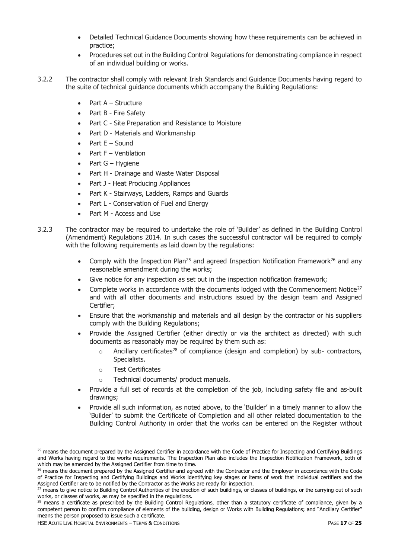- Detailed Technical Guidance Documents showing how these requirements can be achieved in practice;
- Procedures set out in the Building Control Regulations for demonstrating compliance in respect of an individual building or works.
- 3.2.2 The contractor shall comply with relevant Irish Standards and Guidance Documents having regard to the suite of technical guidance documents which accompany the Building Regulations:
	- Part A Structure
	- Part B Fire Safety
	- Part C Site Preparation and Resistance to Moisture
	- Part D Materials and Workmanship
	- Part E Sound
	- Part F Ventilation
	- Part G Hygiene
	- Part H Drainage and Waste Water Disposal
	- Part J Heat Producing Appliances
	- Part K Stairways, Ladders, Ramps and Guards
	- Part L Conservation of Fuel and Energy
	- Part M Access and Use
- 3.2.3 The contractor may be required to undertake the role of 'Builder' as defined in the Building Control (Amendment) Regulations 2014. In such cases the successful contractor will be required to comply with the following requirements as laid down by the regulations:
	- Comply with the Inspection Plan<sup>25</sup> and agreed Inspection Notification Framework<sup>26</sup> and any reasonable amendment during the works;
	- Give notice for any inspection as set out in the inspection notification framework;
	- Complete works in accordance with the documents lodged with the Commencement Notice $^{27}$ and with all other documents and instructions issued by the design team and Assigned Certifier;
	- Ensure that the workmanship and materials and all design by the contractor or his suppliers comply with the Building Regulations;
	- Provide the Assigned Certifier (either directly or via the architect as directed) with such documents as reasonably may be required by them such as:
		- $\circ$  Ancillary certificates<sup>28</sup> of compliance (design and completion) by sub- contractors, Specialists.
		- o Test Certificates
		- Technical documents/ product manuals.
	- Provide a full set of records at the completion of the job, including safety file and as-built drawings;
	- Provide all such information, as noted above, to the 'Builder' in a timely manner to allow the 'Builder' to submit the Certificate of Completion and all other related documentation to the Building Control Authority in order that the works can be entered on the Register without

<sup>&</sup>lt;sup>25</sup> means the document prepared by the Assigned Certifier in accordance with the Code of Practice for Inspecting and Certifying Buildings and Works having regard to the works requirements. The Inspection Plan also includes the Inspection Notification Framework, both of which may be amended by the Assigned Certifier from time to time.

<sup>&</sup>lt;sup>26</sup> means the document prepared by the Assigned Certifier and agreed with the Contractor and the Employer in accordance with the Code of Practice for Inspecting and Certifying Buildings and Works identifying key stages or items of work that individual certifiers and the Assigned Certifier are to be notified by the Contractor as the Works are ready for inspection.

<sup>&</sup>lt;sup>27</sup> means to give notice to Building Control Authorities of the erection of such buildings, or classes of buildings, or the carrying out of such works, or classes of works, as may be specified in the regulations.

 $28$  means a certificate as prescribed by the Building Control Regulations, other than a statutory certificate of compliance, given by a competent person to confirm compliance of elements of the building, design or Works with Building Regulations; and "Ancillary Certifier" means the person proposed to issue such a certificate.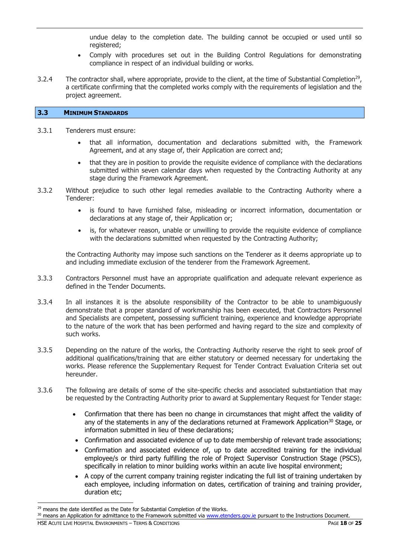undue delay to the completion date. The building cannot be occupied or used until so registered;

- Comply with procedures set out in the Building Control Regulations for demonstrating compliance in respect of an individual building or works.
- 3.2.4 The contractor shall, where appropriate, provide to the client, at the time of Substantial Completion<sup>29</sup>, a certificate confirming that the completed works comply with the requirements of legislation and the project agreement.

# <span id="page-17-0"></span>**3.3 MINIMUM STANDARDS**

- 3.3.1 Tenderers must ensure:
	- that all information, documentation and declarations submitted with, the Framework Agreement, and at any stage of, their Application are correct and;
	- that they are in position to provide the requisite evidence of compliance with the declarations submitted within seven calendar days when requested by the Contracting Authority at any stage during the Framework Agreement.
- 3.3.2 Without prejudice to such other legal remedies available to the Contracting Authority where a Tenderer:
	- is found to have furnished false, misleading or incorrect information, documentation or declarations at any stage of, their Application or;
	- is, for whatever reason, unable or unwilling to provide the requisite evidence of compliance with the declarations submitted when requested by the Contracting Authority;

the Contracting Authority may impose such sanctions on the Tenderer as it deems appropriate up to and including immediate exclusion of the tenderer from the Framework Agreement.

- 3.3.3 Contractors Personnel must have an appropriate qualification and adequate relevant experience as defined in the Tender Documents.
- 3.3.4 In all instances it is the absolute responsibility of the Contractor to be able to unambiguously demonstrate that a proper standard of workmanship has been executed, that Contractors Personnel and Specialists are competent, possessing sufficient training, experience and knowledge appropriate to the nature of the work that has been performed and having regard to the size and complexity of such works.
- 3.3.5 Depending on the nature of the works, the Contracting Authority reserve the right to seek proof of additional qualifications/training that are either statutory or deemed necessary for undertaking the works. Please reference the Supplementary Request for Tender Contract Evaluation Criteria set out hereunder.
- 3.3.6 The following are details of some of the site-specific checks and associated substantiation that may be requested by the Contracting Authority prior to award at Supplementary Request for Tender stage:
	- Confirmation that there has been no change in circumstances that might affect the validity of any of the statements in any of the declarations returned at Framework Application<sup>30</sup> Stage, or information submitted in lieu of these declarations;
	- Confirmation and associated evidence of up to date membership of relevant trade associations;
	- Confirmation and associated evidence of, up to date accredited training for the individual employee/s or third party fulfilling the role of Project Supervisor Construction Stage (PSCS), specifically in relation to minor building works within an acute live hospital environment;
	- A copy of the current company training register indicating the full list of training undertaken by each employee, including information on dates, certification of training and training provider, duration etc;

<sup>&</sup>lt;sup>29</sup> means the date identified as the Date for Substantial Completion of the Works.

HSE ACUTE LIVE HOSPITAL ENVIRONMENTS – TERMS & CONDITIONS PAGE **18** OF **25** <sup>30</sup> means an Application for admittance to the Framework submitted via [www.etenders.gov.ie](http://www.etenders.gov.ie/) pursuant to the Instructions Document.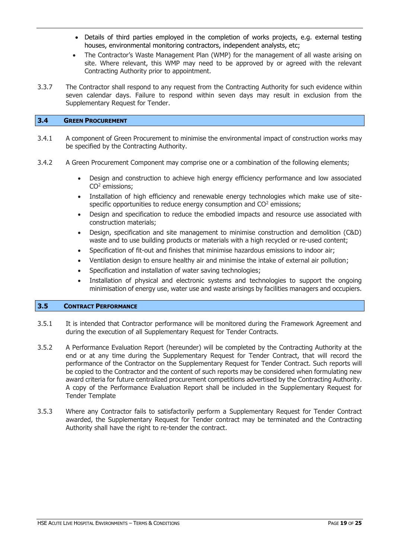- Details of third parties employed in the completion of works projects, e.g. external testing houses, environmental monitoring contractors, independent analysts, etc;
- The Contractor's Waste Management Plan (WMP) for the management of all waste arising on site. Where relevant, this WMP may need to be approved by or agreed with the relevant Contracting Authority prior to appointment.
- 3.3.7 The Contractor shall respond to any request from the Contracting Authority for such evidence within seven calendar days. Failure to respond within seven days may result in exclusion from the Supplementary Request for Tender.

# <span id="page-18-0"></span>**3.4 GREEN PROCUREMENT**

- 3.4.1 A component of Green Procurement to minimise the environmental impact of construction works may be specified by the Contracting Authority.
- 3.4.2 A Green Procurement Component may comprise one or a combination of the following elements;
	- Design and construction to achieve high energy efficiency performance and low associated CO<sup>2</sup> emissions:
	- Installation of high efficiency and renewable energy technologies which make use of sitespecific opportunities to reduce energy consumption and  $CO<sup>2</sup>$  emissions;
	- Design and specification to reduce the embodied impacts and resource use associated with construction materials;
	- Design, specification and site management to minimise construction and demolition (C&D) waste and to use building products or materials with a high recycled or re-used content;
	- Specification of fit-out and finishes that minimise hazardous emissions to indoor air;
	- Ventilation design to ensure healthy air and minimise the intake of external air pollution;
	- Specification and installation of water saving technologies;
	- Installation of physical and electronic systems and technologies to support the ongoing minimisation of energy use, water use and waste arisings by facilities managers and occupiers.

## <span id="page-18-1"></span>**3.5 CONTRACT PERFORMANCE**

- 3.5.1 It is intended that Contractor performance will be monitored during the Framework Agreement and during the execution of all Supplementary Request for Tender Contracts.
- 3.5.2 A Performance Evaluation Report (hereunder) will be completed by the Contracting Authority at the end or at any time during the Supplementary Request for Tender Contract, that will record the performance of the Contractor on the Supplementary Request for Tender Contract. Such reports will be copied to the Contractor and the content of such reports may be considered when formulating new award criteria for future centralized procurement competitions advertised by the Contracting Authority. A copy of the Performance Evaluation Report shall be included in the Supplementary Request for Tender Template
- 3.5.3 Where any Contractor fails to satisfactorily perform a Supplementary Request for Tender Contract awarded, the Supplementary Request for Tender contract may be terminated and the Contracting Authority shall have the right to re-tender the contract.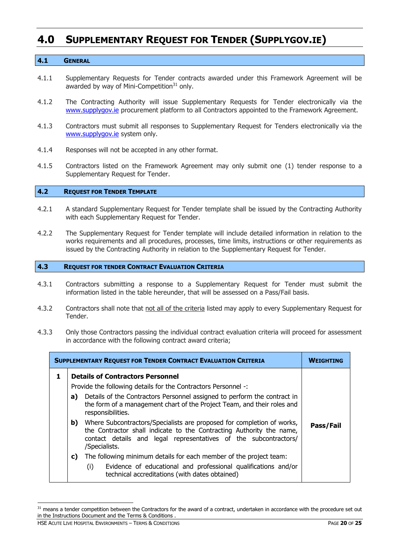# <span id="page-19-0"></span>**4.0 SUPPLEMENTARY REQUEST FOR TENDER (SUPPLYGOV.IE)**

#### <span id="page-19-1"></span>**4.1 GENERAL**

- 4.1.1 Supplementary Requests for Tender contracts awarded under this Framework Agreement will be awarded by way of Mini-Competition $31$  only.
- 4.1.2 The Contracting Authority will issue Supplementary Requests for Tender electronically via the [www.supplygov.ie](http://www.supplygov.ie/) procurement platform to all Contractors appointed to the Framework Agreement.
- 4.1.3 Contractors must submit all responses to Supplementary Request for Tenders electronically via the [www.supplygov.ie](http://www.supplygov.ie/) system only.
- 4.1.4 Responses will not be accepted in any other format.
- 4.1.5 Contractors listed on the Framework Agreement may only submit one (1) tender response to a Supplementary Request for Tender.

#### <span id="page-19-2"></span>**4.2 REQUEST FOR TENDER TEMPLATE**

- 4.2.1 A standard Supplementary Request for Tender template shall be issued by the Contracting Authority with each Supplementary Request for Tender.
- 4.2.2 The Supplementary Request for Tender template will include detailed information in relation to the works requirements and all procedures, processes, time limits, instructions or other requirements as issued by the Contracting Authority in relation to the Supplementary Request for Tender.

# <span id="page-19-3"></span>**4.3 REQUEST FOR TENDER CONTRACT EVALUATION CRITERIA**

- 4.3.1 Contractors submitting a response to a Supplementary Request for Tender must submit the information listed in the table hereunder, that will be assessed on a Pass/Fail basis.
- 4.3.2 Contractors shall note that not all of the criteria listed may apply to every Supplementary Request for Tender.
- 4.3.3 Only those Contractors passing the individual contract evaluation criteria will proceed for assessment in accordance with the following contract award criteria;

| <b>SUPPLEMENTARY REQUEST FOR TENDER CONTRACT EVALUATION CRITERIA</b> |                                                                |                                                                                                                                                                                                                                     | <b>WFTGHTTNG</b> |
|----------------------------------------------------------------------|----------------------------------------------------------------|-------------------------------------------------------------------------------------------------------------------------------------------------------------------------------------------------------------------------------------|------------------|
| 1                                                                    | <b>Details of Contractors Personnel</b>                        |                                                                                                                                                                                                                                     |                  |
|                                                                      | Provide the following details for the Contractors Personnel -: |                                                                                                                                                                                                                                     |                  |
|                                                                      | a)                                                             | Details of the Contractors Personnel assigned to perform the contract in<br>the form of a management chart of the Project Team, and their roles and<br>responsibilities.                                                            |                  |
|                                                                      | b)                                                             | Where Subcontractors/Specialists are proposed for completion of works,<br>the Contractor shall indicate to the Contracting Authority the name,<br>contact details and legal representatives of the subcontractors/<br>/Specialists. | Pass/Fail        |
|                                                                      | C)                                                             |                                                                                                                                                                                                                                     |                  |

<sup>&</sup>lt;sup>31</sup> means a tender competition between the Contractors for the award of a contract, undertaken in accordance with the procedure set out in the Instructions Document and the Terms & Conditions .

HSE ACUTE LIVE HOSPITAL ENVIRONMENTS – TERMS & CONDITIONS PAGE **20** OF **25**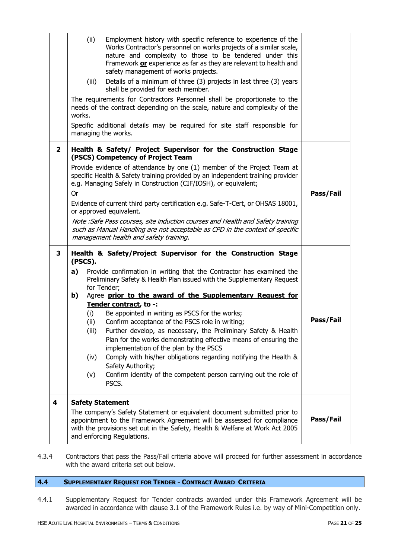|                         | Employment history with specific reference to experience of the<br>(ii)<br>Works Contractor's personnel on works projects of a similar scale,<br>nature and complexity to those to be tendered under this<br>Framework or experience as far as they are relevant to health and<br>safety management of works projects.<br>(iii)<br>Details of a minimum of three (3) projects in last three (3) years<br>shall be provided for each member. |           |  |  |  |  |
|-------------------------|---------------------------------------------------------------------------------------------------------------------------------------------------------------------------------------------------------------------------------------------------------------------------------------------------------------------------------------------------------------------------------------------------------------------------------------------|-----------|--|--|--|--|
| works.                  | The requirements for Contractors Personnel shall be proportionate to the<br>needs of the contract depending on the scale, nature and complexity of the                                                                                                                                                                                                                                                                                      |           |  |  |  |  |
|                         | Specific additional details may be required for site staff responsible for<br>managing the works.                                                                                                                                                                                                                                                                                                                                           |           |  |  |  |  |
| $\overline{\mathbf{2}}$ | Health & Safety/ Project Supervisor for the Construction Stage<br>(PSCS) Competency of Project Team                                                                                                                                                                                                                                                                                                                                         |           |  |  |  |  |
| <b>Or</b>               | Provide evidence of attendance by one (1) member of the Project Team at<br>specific Health & Safety training provided by an independent training provider<br>e.g. Managing Safely in Construction (CIF/IOSH), or equivalent;                                                                                                                                                                                                                |           |  |  |  |  |
|                         | Evidence of current third party certification e.g. Safe-T-Cert, or OHSAS 18001,<br>or approved equivalent.                                                                                                                                                                                                                                                                                                                                  |           |  |  |  |  |
|                         | Note :Safe Pass courses, site induction courses and Health and Safety training<br>such as Manual Handling are not acceptable as CPD in the context of specific<br>management health and safety training.                                                                                                                                                                                                                                    |           |  |  |  |  |
| 3                       | Health & Safety/Project Supervisor for the Construction Stage<br>(PSCS).                                                                                                                                                                                                                                                                                                                                                                    |           |  |  |  |  |
| a)                      | Provide confirmation in writing that the Contractor has examined the<br>Preliminary Safety & Health Plan issued with the Supplementary Request<br>for Tender;                                                                                                                                                                                                                                                                               |           |  |  |  |  |
| b)                      | Agree prior to the award of the Supplementary Request for                                                                                                                                                                                                                                                                                                                                                                                   |           |  |  |  |  |
|                         | Tender contract, to -:                                                                                                                                                                                                                                                                                                                                                                                                                      |           |  |  |  |  |
|                         | Be appointed in writing as PSCS for the works;<br>(i)<br>Confirm acceptance of the PSCS role in writing;<br>(ii)                                                                                                                                                                                                                                                                                                                            | Pass/Fail |  |  |  |  |
|                         | Further develop, as necessary, the Preliminary Safety & Health<br>(iii)<br>Plan for the works demonstrating effective means of ensuring the<br>implementation of the plan by the PSCS                                                                                                                                                                                                                                                       |           |  |  |  |  |
|                         | Comply with his/her obligations regarding notifying the Health &<br>(iv)<br>Safety Authority;                                                                                                                                                                                                                                                                                                                                               |           |  |  |  |  |
|                         | Confirm identity of the competent person carrying out the role of<br>(v)<br>PSCS.                                                                                                                                                                                                                                                                                                                                                           |           |  |  |  |  |
| 4                       | <b>Safety Statement</b>                                                                                                                                                                                                                                                                                                                                                                                                                     |           |  |  |  |  |
|                         | The company's Safety Statement or equivalent document submitted prior to<br>appointment to the Framework Agreement will be assessed for compliance<br>with the provisions set out in the Safety, Health & Welfare at Work Act 2005                                                                                                                                                                                                          | Pass/Fail |  |  |  |  |

4.3.4 Contractors that pass the Pass/Fail criteria above will proceed for further assessment in accordance with the award criteria set out below.

# <span id="page-20-0"></span>**4.4 SUPPLEMENTARY REQUEST FOR TENDER - CONTRACT AWARD CRITERIA**

4.4.1 Supplementary Request for Tender contracts awarded under this Framework Agreement will be awarded in accordance with clause 3.1 of the Framework Rules i.e. by way of Mini-Competition only.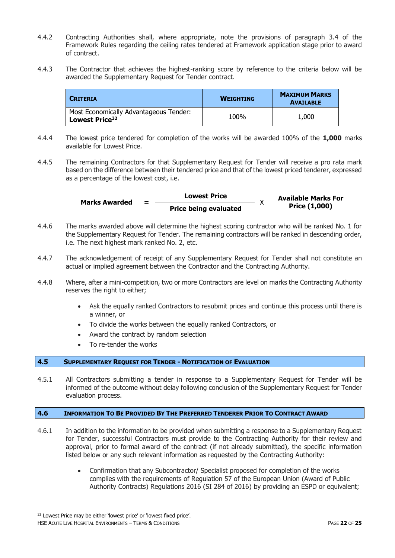- 4.4.2 Contracting Authorities shall, where appropriate, note the provisions of paragraph 3.4 of the Framework Rules regarding the ceiling rates tendered at Framework application stage prior to award of contract.
- 4.4.3 The Contractor that achieves the highest-ranking score by reference to the criteria below will be awarded the Supplementary Request for Tender contract.

| Criteria                                                             | <b>WEIGHTING</b> | <b>MAXIMUM MARKS</b><br><b>AVAILABLE</b> |  |  |
|----------------------------------------------------------------------|------------------|------------------------------------------|--|--|
| Most Economically Advantageous Tender:<br>Lowest Price <sup>32</sup> | 100%             | 1,000                                    |  |  |

- 4.4.4 The lowest price tendered for completion of the works will be awarded 100% of the **1,000** marks available for Lowest Price.
- 4.4.5 The remaining Contractors for that Supplementary Request for Tender will receive a pro rata mark based on the difference between their tendered price and that of the lowest priced tenderer, expressed as a percentage of the lowest cost, i.e.

**Marks Awarded = Lowest Price**  $- X$ **Available Marks For Price (1,000) Price being evaluated**

- 4.4.6 The marks awarded above will determine the highest scoring contractor who will be ranked No. 1 for the Supplementary Request for Tender. The remaining contractors will be ranked in descending order, i.e. The next highest mark ranked No. 2, etc.
- 4.4.7 The acknowledgement of receipt of any Supplementary Request for Tender shall not constitute an actual or implied agreement between the Contractor and the Contracting Authority.
- 4.4.8 Where, after a mini-competition, two or more Contractors are level on marks the Contracting Authority reserves the right to either;
	- Ask the equally ranked Contractors to resubmit prices and continue this process until there is a winner, or
	- To divide the works between the equally ranked Contractors, or
	- Award the contract by random selection
	- To re-tender the works

# <span id="page-21-0"></span>**4.5 SUPPLEMENTARY REQUEST FOR TENDER - NOTIFICATION OF EVALUATION**

4.5.1 All Contractors submitting a tender in response to a Supplementary Request for Tender will be informed of the outcome without delay following conclusion of the Supplementary Request for Tender evaluation process.

# <span id="page-21-1"></span>4.6 INFORMATION TO BE PROVIDED BY THE PREFERRED TENDERER PRIOR TO CONTRACT AWARD

- 4.6.1 In addition to the information to be provided when submitting a response to a Supplementary Request for Tender, successful Contractors must provide to the Contracting Authority for their review and approval, prior to formal award of the contract (if not already submitted), the specific information listed below or any such relevant information as requested by the Contracting Authority:
	- Confirmation that any Subcontractor/ Specialist proposed for completion of the works complies with the requirements of Regulation 57 of the European Union (Award of Public Authority Contracts) Regulations 2016 (SI 284 of 2016) by providing an ESPD or equivalent;

<sup>&</sup>lt;sup>32</sup> Lowest Price may be either 'lowest price' or 'lowest fixed price'.

HSE ACUTE LIVE HOSPITAL ENVIRONMENTS – TERMS & CONDITIONS PAGE **22** OF **25**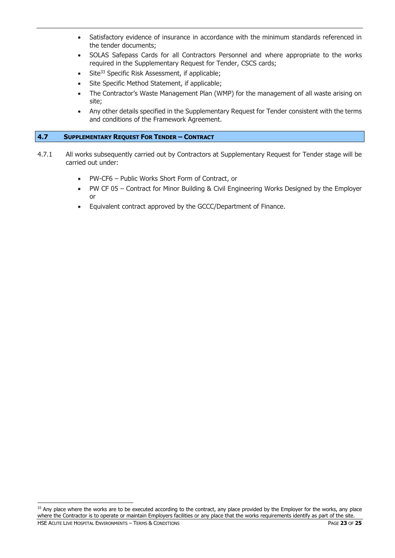- Satisfactory evidence of insurance in accordance with the minimum standards referenced in the tender documents;
- SOLAS Safepass Cards for all Contractors Personnel and where appropriate to the works required in the Supplementary Request for Tender, CSCS cards;
- Site<sup>33</sup> Specific Risk Assessment, if applicable;
- Site Specific Method Statement, if applicable;
- The Contractor's Waste Management Plan (WMP) for the management of all waste arising on site;
- Any other details specified in the Supplementary Request for Tender consistent with the terms and conditions of the Framework Agreement.

# <span id="page-22-0"></span>**4.7 SUPPLEMENTARY REQUEST FOR TENDER – CONTRACT**

- 4.7.1 All works subsequently carried out by Contractors at Supplementary Request for Tender stage will be carried out under:
	- PW-CF6 [Public Works Short Form of Contract,](http://constructionprocurement.gov.ie/contracts/) or
	- PW CF 05 Contract for Minor Building & Civil Engineering Works Designed by the Employer or
	- Equivalent contract approved by the GCCC/Department of Finance.

HSE ACUTE LIVE HOSPITAL ENVIRONMENTS – TERMS & CONDITIONS PAGE **23** OF **25** 33 Any place where the works are to be executed according to the contract, any place provided by the Employer for the works, any place where the Contractor is to operate or maintain Employers facilities or any place that the works requirements identify as part of the site.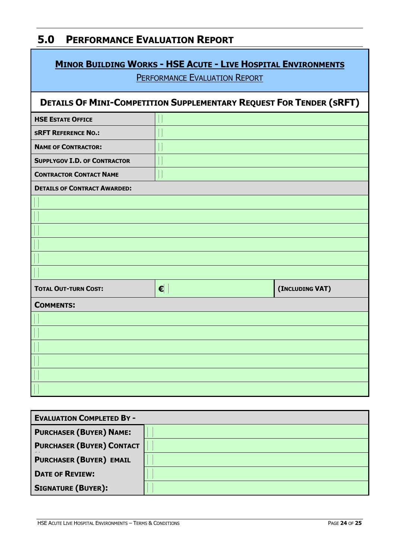# <span id="page-23-0"></span>**5.0 PERFORMANCE EVALUATION REPORT**

 $\mathbf{r}$ 

| <b>MINOR BUILDING WORKS - HSE ACUTE - LIVE HOSPITAL ENVIRONMENTS</b> |                                                                            |                 |  |  |
|----------------------------------------------------------------------|----------------------------------------------------------------------------|-----------------|--|--|
|                                                                      | <b>PERFORMANCE EVALUATION REPORT</b>                                       |                 |  |  |
|                                                                      | <b>DETAILS OF MINI-COMPETITION SUPPLEMENTARY REQUEST FOR TENDER (SRFT)</b> |                 |  |  |
| <b>HSE ESTATE OFFICE</b>                                             |                                                                            |                 |  |  |
| <b>SRFT REFERENCE NO.:</b>                                           |                                                                            |                 |  |  |
| <b>NAME OF CONTRACTOR:</b>                                           |                                                                            |                 |  |  |
| <b>SUPPLYGOV I.D. OF CONTRACTOR</b>                                  |                                                                            |                 |  |  |
| <b>CONTRACTOR CONTACT NAME</b>                                       |                                                                            |                 |  |  |
| <b>DETAILS OF CONTRACT AWARDED:</b>                                  |                                                                            |                 |  |  |
|                                                                      |                                                                            |                 |  |  |
|                                                                      |                                                                            |                 |  |  |
|                                                                      |                                                                            |                 |  |  |
|                                                                      |                                                                            |                 |  |  |
|                                                                      |                                                                            |                 |  |  |
|                                                                      |                                                                            |                 |  |  |
| <b>TOTAL OUT-TURN COST:</b>                                          | €                                                                          | (INCLUDING VAT) |  |  |
| <b>COMMENTS:</b>                                                     |                                                                            |                 |  |  |
|                                                                      |                                                                            |                 |  |  |
|                                                                      |                                                                            |                 |  |  |
|                                                                      |                                                                            |                 |  |  |
|                                                                      |                                                                            |                 |  |  |
|                                                                      |                                                                            |                 |  |  |
|                                                                      |                                                                            |                 |  |  |

| <b>EVALUATION COMPLETED BY -</b> |  |  |  |
|----------------------------------|--|--|--|
| <b>PURCHASER (BUYER) NAME:</b>   |  |  |  |
| <b>PURCHASER (BUYER) CONTACT</b> |  |  |  |
| <b>PURCHASER (BUYER) EMAIL</b>   |  |  |  |
| <b>DATE OF REVIEW:</b>           |  |  |  |
| <b>SIGNATURE (BUYER):</b>        |  |  |  |